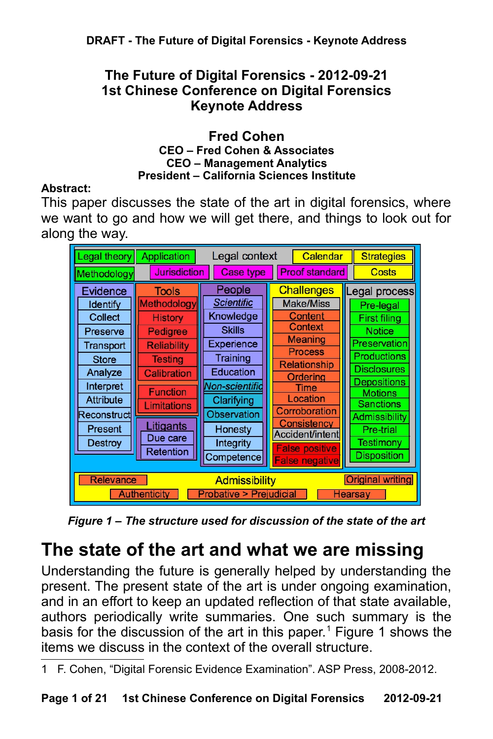## **The Future of Digital Forensics - 2012-09-21 1st Chinese Conference on Digital Forensics Keynote Address**

#### **Fred Cohen CEO – Fred Cohen & Associates CEO – Management Analytics President – California Sciences Institute**

#### **Abstract:**

This paper discusses the state of the art in digital forensics, where we want to go and how we will get there, and things to look out for along the way.

| Legal theory                                                                                                                                                                                            | <b>Application</b>                                                                                                                                                                                     | Legal context                                                                                                                                                                                |  | Calendar                                                                                                                                                                                                                           | <b>Strategies</b>                                                                                                                                                                                                                                   |
|---------------------------------------------------------------------------------------------------------------------------------------------------------------------------------------------------------|--------------------------------------------------------------------------------------------------------------------------------------------------------------------------------------------------------|----------------------------------------------------------------------------------------------------------------------------------------------------------------------------------------------|--|------------------------------------------------------------------------------------------------------------------------------------------------------------------------------------------------------------------------------------|-----------------------------------------------------------------------------------------------------------------------------------------------------------------------------------------------------------------------------------------------------|
| Methodology                                                                                                                                                                                             | <b>Jurisdiction</b>                                                                                                                                                                                    | <b>Case type</b>                                                                                                                                                                             |  | <b>Proof standard</b>                                                                                                                                                                                                              | <b>Costs</b>                                                                                                                                                                                                                                        |
| Evidence<br>Identify<br>Collect<br>Preserve<br>Transport<br><b>Store</b><br>Analyze<br>Interpret<br><b>Attribute</b><br>Reconstruct<br>Present<br><b>Destroy</b>                                        | <b>Tools</b><br>Methodology<br><b>History</b><br>Pedigree<br><b>Reliability</b><br><b>Testing</b><br><b>Calibration</b><br><b>Function</b><br>Limitations<br><u>Litigants</u><br>Due care<br>Retention | People<br><b>Scientific</b><br>Knowledge<br><b>Skills</b><br><b>Experience</b><br>Training<br>Education<br><u>Non-scientific</u><br>Clarifying<br><b>Observation</b><br>Honesty<br>Integrity |  | <b>Challenges</b><br><b>Make/Miss</b><br>Content<br><b>Context</b><br>Meaning<br><b>Process</b><br><b>Relationship</b><br>Ordering<br>Time<br>Location<br>Corroboration<br>Consistency<br>Accident/intent<br><b>False positive</b> | Legal process<br>Pre-legal<br><b>First filing</b><br><b>Notice</b><br><b>Preservation</b><br><b>Productions</b><br><b>Disclosures</b><br><b>Depositions</b><br><b>Motions</b><br><b>Sanctions</b><br><b>Admissibility</b><br>Pre-trial<br>Testimony |
| <b>Disposition</b><br>Competence<br><b>False negative</b><br><b>Original writing</b><br><b>Relevance</b><br><b>Admissibility</b><br><b>Authenticity</b><br><b>Probative &gt; Prejudicial</b><br>Hearsay |                                                                                                                                                                                                        |                                                                                                                                                                                              |  |                                                                                                                                                                                                                                    |                                                                                                                                                                                                                                                     |

*Figure 1 – The structure used for discussion of the state of the art*

# **The state of the art and what we are missing**

Understanding the future is generally helped by understanding the present. The present state of the art is under ongoing examination, and in an effort to keep an updated reflection of that state available, authors periodically write summaries. One such summary is the basis for the discussion of the art in this paper.<sup>[1](#page-0-0)</sup> Figure 1 shows the items we discuss in the context of the overall structure.

<span id="page-0-0"></span><sup>1</sup> F. Cohen, "Digital Forensic Evidence Examination". ASP Press, 2008-2012.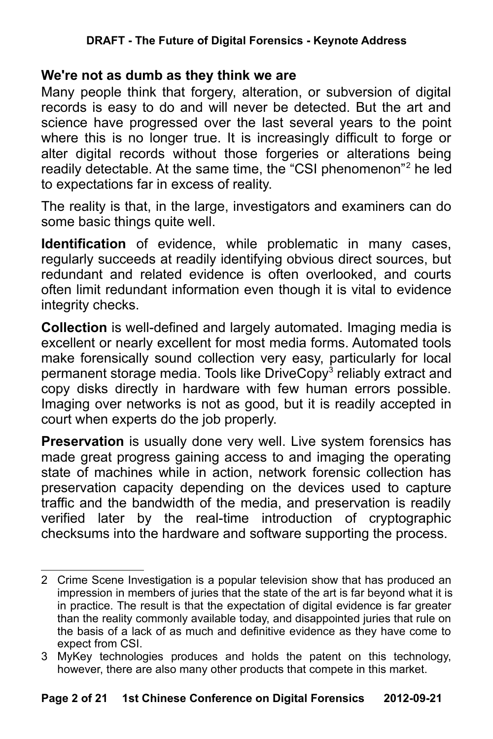#### **DRAFT - The Future of Digital Forensics - Keynote Address**

#### **We're not as dumb as they think we are**

Many people think that forgery, alteration, or subversion of digital records is easy to do and will never be detected. But the art and science have progressed over the last several years to the point where this is no longer true. It is increasingly difficult to forge or alter digital records without those forgeries or alterations being readily detectable. At the same time, the "CSI phenomenon"<sup>[2](#page-1-0)</sup> he led to expectations far in excess of reality.

The reality is that, in the large, investigators and examiners can do some basic things quite well.

**Identification** of evidence, while problematic in many cases, regularly succeeds at readily identifying obvious direct sources, but redundant and related evidence is often overlooked, and courts often limit redundant information even though it is vital to evidence integrity checks.

**Collection** is well-defined and largely automated. Imaging media is excellent or nearly excellent for most media forms. Automated tools make forensically sound collection very easy, particularly for local permanent storage media. Tools like DriveCopy<sup>[3](#page-1-1)</sup> reliably extract and copy disks directly in hardware with few human errors possible. Imaging over networks is not as good, but it is readily accepted in court when experts do the job properly.

**Preservation** is usually done very well. Live system forensics has made great progress gaining access to and imaging the operating state of machines while in action, network forensic collection has preservation capacity depending on the devices used to capture traffic and the bandwidth of the media, and preservation is readily verified later by the real-time introduction of cryptographic checksums into the hardware and software supporting the process.

<span id="page-1-0"></span><sup>2</sup> Crime Scene Investigation is a popular television show that has produced an impression in members of juries that the state of the art is far beyond what it is in practice. The result is that the expectation of digital evidence is far greater than the reality commonly available today, and disappointed juries that rule on the basis of a lack of as much and definitive evidence as they have come to expect from CSI.

<span id="page-1-1"></span><sup>3</sup> MyKey technologies produces and holds the patent on this technology, however, there are also many other products that compete in this market.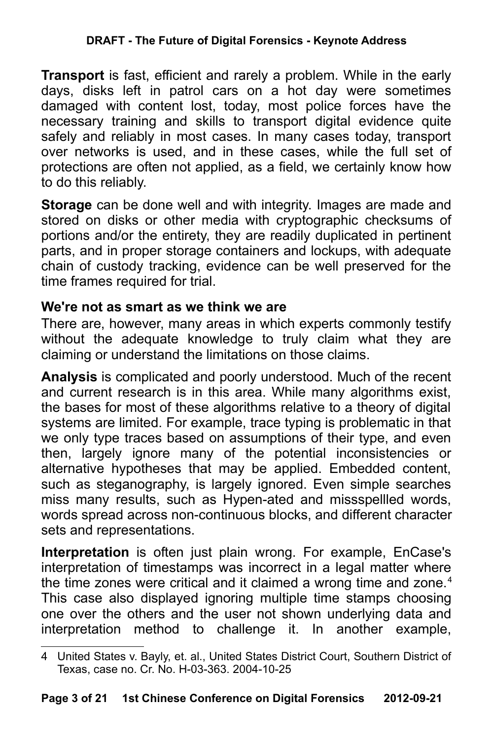**Transport** is fast, efficient and rarely a problem. While in the early days, disks left in patrol cars on a hot day were sometimes damaged with content lost, today, most police forces have the necessary training and skills to transport digital evidence quite safely and reliably in most cases. In many cases today, transport over networks is used, and in these cases, while the full set of protections are often not applied, as a field, we certainly know how to do this reliably.

**Storage** can be done well and with integrity. Images are made and stored on disks or other media with cryptographic checksums of portions and/or the entirety, they are readily duplicated in pertinent parts, and in proper storage containers and lockups, with adequate chain of custody tracking, evidence can be well preserved for the time frames required for trial.

# **We're not as smart as we think we are**

There are, however, many areas in which experts commonly testify without the adequate knowledge to truly claim what they are claiming or understand the limitations on those claims.

**Analysis** is complicated and poorly understood. Much of the recent and current research is in this area. While many algorithms exist, the bases for most of these algorithms relative to a theory of digital systems are limited. For example, trace typing is problematic in that we only type traces based on assumptions of their type, and even then, largely ignore many of the potential inconsistencies or alternative hypotheses that may be applied. Embedded content, such as steganography, is largely ignored. Even simple searches miss many results, such as Hypen-ated and missspellled words, words spread across non-continuous blocks, and different character sets and representations.

**Interpretation** is often just plain wrong. For example, EnCase's interpretation of timestamps was incorrect in a legal matter where the time zones were critical and it claimed a wrong time and zone.<sup>[4](#page-2-0)</sup> This case also displayed ignoring multiple time stamps choosing one over the others and the user not shown underlying data and interpretation method to challenge it. In another example,

<span id="page-2-0"></span><sup>4</sup> United States v. Bayly, et. al., United States District Court, Southern District of Texas, case no. Cr. No. H-03-363. 2004-10-25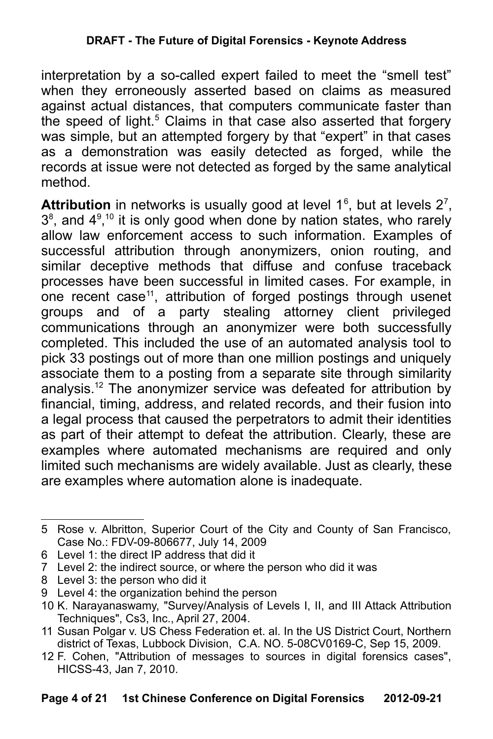interpretation by a so-called expert failed to meet the "smell test" when they erroneously asserted based on claims as measured against actual distances, that computers communicate faster than the speed of light.<sup>[5](#page-3-0)</sup> Claims in that case also asserted that forgery was simple, but an attempted forgery by that "expert" in that cases as a demonstration was easily detected as forged, while the records at issue were not detected as forged by the same analytical method.

**Attribution** in networks is usually good at level  $1<sup>6</sup>$  $1<sup>6</sup>$  $1<sup>6</sup>$ , but at levels  $2<sup>7</sup>$  $2<sup>7</sup>$  $2<sup>7</sup>$ ,  $3<sup>8</sup>$  $3<sup>8</sup>$  $3<sup>8</sup>$ , and  $4<sup>9,10</sup>$  $4<sup>9,10</sup>$  $4<sup>9,10</sup>$  $4<sup>9,10</sup>$  $4<sup>9,10</sup>$  it is only good when done by nation states, who rarely allow law enforcement access to such information. Examples of successful attribution through anonymizers, onion routing, and similar deceptive methods that diffuse and confuse traceback processes have been successful in limited cases. For example, in one recent case<sup>[11](#page-3-6)</sup>, attribution of forged postings through usenet groups and of a party stealing attorney client privileged communications through an anonymizer were both successfully completed. This included the use of an automated analysis tool to pick 33 postings out of more than one million postings and uniquely associate them to a posting from a separate site through similarity analysis.[12](#page-3-7) The anonymizer service was defeated for attribution by financial, timing, address, and related records, and their fusion into a legal process that caused the perpetrators to admit their identities as part of their attempt to defeat the attribution. Clearly, these are examples where automated mechanisms are required and only limited such mechanisms are widely available. Just as clearly, these are examples where automation alone is inadequate.

<span id="page-3-0"></span><sup>5</sup> Rose v. Albritton, Superior Court of the City and County of San Francisco, Case No.: FDV-09-806677, July 14, 2009

<span id="page-3-1"></span><sup>6</sup> Level 1: the direct IP address that did it

<span id="page-3-2"></span><sup>7</sup> Level 2: the indirect source, or where the person who did it was

<span id="page-3-3"></span><sup>8</sup> Level 3: the person who did it

<span id="page-3-4"></span><sup>9</sup> Level 4: the organization behind the person

<span id="page-3-5"></span><sup>10</sup> K. Narayanaswamy, "Survey/Analysis of Levels I, II, and III Attack Attribution Techniques", Cs3, Inc., April 27, 2004.

<span id="page-3-6"></span><sup>11</sup> Susan Polgar v. US Chess Federation et. al. In the US District Court, Northern district of Texas, Lubbock Division, C.A. NO. 5-08CV0169-C, Sep 15, 2009.

<span id="page-3-7"></span><sup>12</sup> F. Cohen, "Attribution of messages to sources in digital forensics cases", HICSS-43, Jan 7, 2010.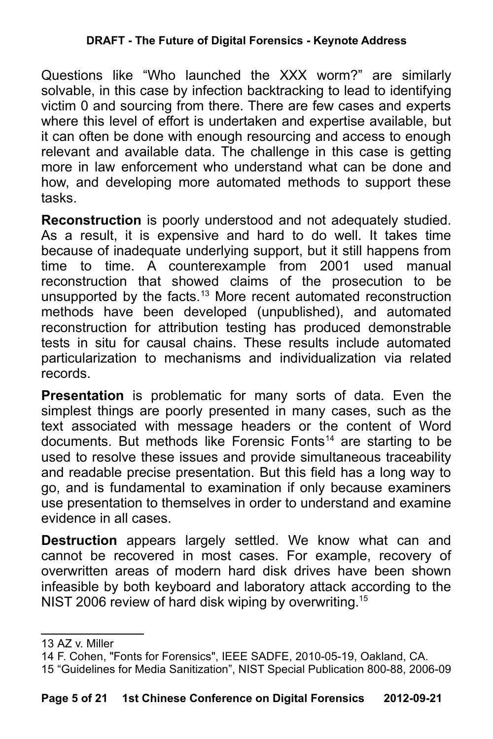#### **DRAFT - The Future of Digital Forensics - Keynote Address**

Questions like "Who launched the XXX worm?" are similarly solvable, in this case by infection backtracking to lead to identifying victim 0 and sourcing from there. There are few cases and experts where this level of effort is undertaken and expertise available, but it can often be done with enough resourcing and access to enough relevant and available data. The challenge in this case is getting more in law enforcement who understand what can be done and how, and developing more automated methods to support these tasks.

**Reconstruction** is poorly understood and not adequately studied. As a result, it is expensive and hard to do well. It takes time because of inadequate underlying support, but it still happens from time to time. A counterexample from 2001 used manual reconstruction that showed claims of the prosecution to be unsupported by the facts.<sup>[13](#page-4-0)</sup> More recent automated reconstruction methods have been developed (unpublished), and automated reconstruction for attribution testing has produced demonstrable tests in situ for causal chains. These results include automated particularization to mechanisms and individualization via related records.

**Presentation** is problematic for many sorts of data. Even the simplest things are poorly presented in many cases, such as the text associated with message headers or the content of Word documents. But methods like Forensic Fonts<sup>[14](#page-4-1)</sup> are starting to be used to resolve these issues and provide simultaneous traceability and readable precise presentation. But this field has a long way to go, and is fundamental to examination if only because examiners use presentation to themselves in order to understand and examine evidence in all cases.

**Destruction** appears largely settled. We know what can and cannot be recovered in most cases. For example, recovery of overwritten areas of modern hard disk drives have been shown infeasible by both keyboard and laboratory attack according to the NIST 2006 review of hard disk wiping by overwriting.<sup>[15](#page-4-2)</sup>

<span id="page-4-0"></span><sup>13</sup> AZ v. Miller

<span id="page-4-1"></span><sup>14</sup> F. Cohen, "Fonts for Forensics", IEEE SADFE, 2010-05-19, Oakland, CA.

<span id="page-4-2"></span><sup>15</sup> "Guidelines for Media Sanitization", NIST Special Publication 800-88, 2006-09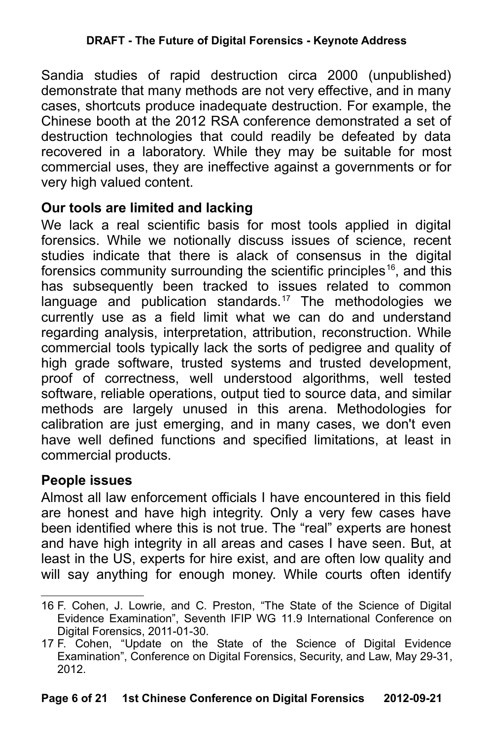Sandia studies of rapid destruction circa 2000 (unpublished) demonstrate that many methods are not very effective, and in many cases, shortcuts produce inadequate destruction. For example, the Chinese booth at the 2012 RSA conference demonstrated a set of destruction technologies that could readily be defeated by data recovered in a laboratory. While they may be suitable for most commercial uses, they are ineffective against a governments or for very high valued content.

### **Our tools are limited and lacking**

We lack a real scientific basis for most tools applied in digital forensics. While we notionally discuss issues of science, recent studies indicate that there is alack of consensus in the digital forensics community surrounding the scientific principles<sup>[16](#page-5-0)</sup>, and this has subsequently been tracked to issues related to common language and publication standards.<sup>[17](#page-5-1)</sup> The methodologies we currently use as a field limit what we can do and understand regarding analysis, interpretation, attribution, reconstruction. While commercial tools typically lack the sorts of pedigree and quality of high grade software, trusted systems and trusted development, proof of correctness, well understood algorithms, well tested software, reliable operations, output tied to source data, and similar methods are largely unused in this arena. Methodologies for calibration are just emerging, and in many cases, we don't even have well defined functions and specified limitations, at least in commercial products.

### **People issues**

Almost all law enforcement officials I have encountered in this field are honest and have high integrity. Only a very few cases have been identified where this is not true. The "real" experts are honest and have high integrity in all areas and cases I have seen. But, at least in the US, experts for hire exist, and are often low quality and will say anything for enough money. While courts often identify

<span id="page-5-0"></span><sup>16</sup> F. Cohen, J. Lowrie, and C. Preston, "The State of the Science of Digital Evidence Examination", Seventh IFIP WG 11.9 International Conference on Digital Forensics, 2011-01-30.

<span id="page-5-1"></span><sup>17</sup> F. Cohen, "Update on the State of the Science of Digital Evidence Examination", Conference on Digital Forensics, Security, and Law, May 29-31, 2012.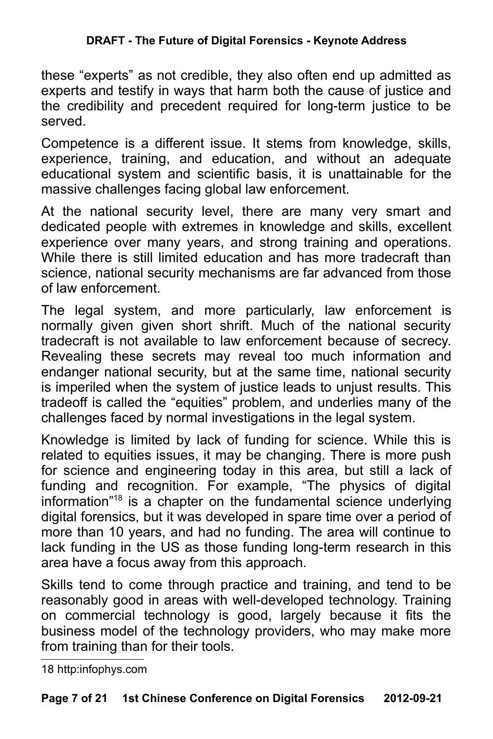these "experts" as not credible, they also often end up admitted as experts and testify in ways that harm both the cause of justice and the credibility and precedent required for long-term justice to be served.

Competence is a different issue. It stems from knowledge, skills, experience, training, and education, and without an adequate educational system and scientific basis, it is unattainable for the massive challenges facing global law enforcement.

At the national security level, there are many very smart and dedicated people with extremes in knowledge and skills, excellent experience over many years, and strong training and operations. While there is still limited education and has more tradecraft than science, national security mechanisms are far advanced from those of law enforcement.

The legal system, and more particularly, law enforcement is normally given given short shrift. Much of the national security tradecraft is not available to law enforcement because of secrecy. Revealing these secrets may reveal too much information and endanger national security, but at the same time, national security is imperiled when the system of justice leads to unjust results. This tradeoff is called the "equities" problem, and underlies many of the challenges faced by normal investigations in the legal system.

Knowledge is limited by lack of funding for science. While this is related to equities issues, it may be changing. There is more push for science and engineering today in this area, but still a lack of funding and recognition. For example, "The physics of digital information"[18](#page-6-0) is a chapter on the fundamental science underlying digital forensics, but it was developed in spare time over a period of more than 10 years, and had no funding. The area will continue to lack funding in the US as those funding long-term research in this area have a focus away from this approach.

Skills tend to come through practice and training, and tend to be reasonably good in areas with well-developed technology. Training on commercial technology is good, largely because it fits the business model of the technology providers, who may make more from training than for their tools.

<span id="page-6-0"></span><sup>18</sup> http:infophys.com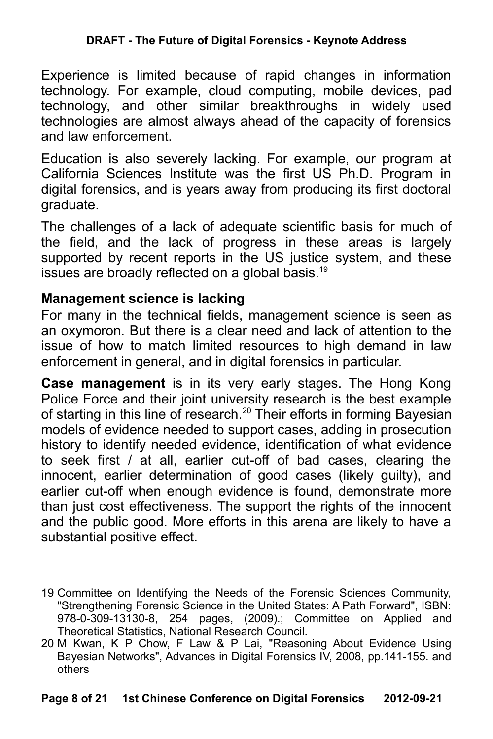#### **DRAFT - The Future of Digital Forensics - Keynote Address**

Experience is limited because of rapid changes in information technology. For example, cloud computing, mobile devices, pad technology, and other similar breakthroughs in widely used technologies are almost always ahead of the capacity of forensics and law enforcement.

Education is also severely lacking. For example, our program at California Sciences Institute was the first US Ph.D. Program in digital forensics, and is years away from producing its first doctoral graduate.

The challenges of a lack of adequate scientific basis for much of the field, and the lack of progress in these areas is largely supported by recent reports in the US justice system, and these issues are broadly reflected on a global basis.<sup>[19](#page-7-0)</sup>

### **Management science is lacking**

For many in the technical fields, management science is seen as an oxymoron. But there is a clear need and lack of attention to the issue of how to match limited resources to high demand in law enforcement in general, and in digital forensics in particular.

**Case management** is in its very early stages. The Hong Kong Police Force and their joint university research is the best example of starting in this line of research.<sup>[20](#page-7-1)</sup> Their efforts in forming Bayesian models of evidence needed to support cases, adding in prosecution history to identify needed evidence, identification of what evidence to seek first / at all, earlier cut-off of bad cases, clearing the innocent, earlier determination of good cases (likely guilty), and earlier cut-off when enough evidence is found, demonstrate more than just cost effectiveness. The support the rights of the innocent and the public good. More efforts in this arena are likely to have a substantial positive effect.

<span id="page-7-0"></span><sup>19</sup> Committee on Identifying the Needs of the Forensic Sciences Community, "Strengthening Forensic Science in the United States: A Path Forward", ISBN: 978-0-309-13130-8, 254 pages, (2009).; Committee on Applied and Theoretical Statistics, National Research Council.

<span id="page-7-1"></span><sup>20</sup> M Kwan, K P Chow, F Law & P Lai, "Reasoning About Evidence Using Bayesian Networks", Advances in Digital Forensics IV, 2008, pp.141-155. and others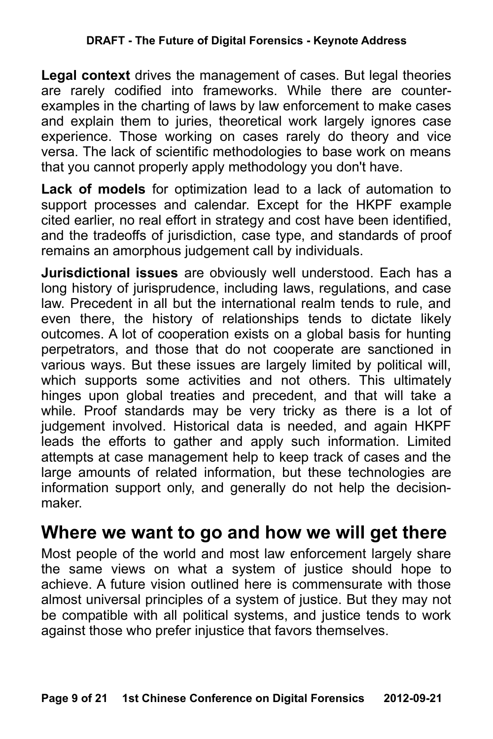**Legal context** drives the management of cases. But legal theories are rarely codified into frameworks. While there are counterexamples in the charting of laws by law enforcement to make cases and explain them to juries, theoretical work largely ignores case experience. Those working on cases rarely do theory and vice versa. The lack of scientific methodologies to base work on means that you cannot properly apply methodology you don't have.

**Lack of models** for optimization lead to a lack of automation to support processes and calendar. Except for the HKPF example cited earlier, no real effort in strategy and cost have been identified, and the tradeoffs of jurisdiction, case type, and standards of proof remains an amorphous judgement call by individuals.

**Jurisdictional issues** are obviously well understood. Each has a long history of jurisprudence, including laws, regulations, and case law. Precedent in all but the international realm tends to rule, and even there, the history of relationships tends to dictate likely outcomes. A lot of cooperation exists on a global basis for hunting perpetrators, and those that do not cooperate are sanctioned in various ways. But these issues are largely limited by political will, which supports some activities and not others. This ultimately hinges upon global treaties and precedent, and that will take a while. Proof standards may be very tricky as there is a lot of judgement involved. Historical data is needed, and again HKPF leads the efforts to gather and apply such information. Limited attempts at case management help to keep track of cases and the large amounts of related information, but these technologies are information support only, and generally do not help the decisionmaker.

# **Where we want to go and how we will get there**

Most people of the world and most law enforcement largely share the same views on what a system of justice should hope to achieve. A future vision outlined here is commensurate with those almost universal principles of a system of justice. But they may not be compatible with all political systems, and justice tends to work against those who prefer injustice that favors themselves.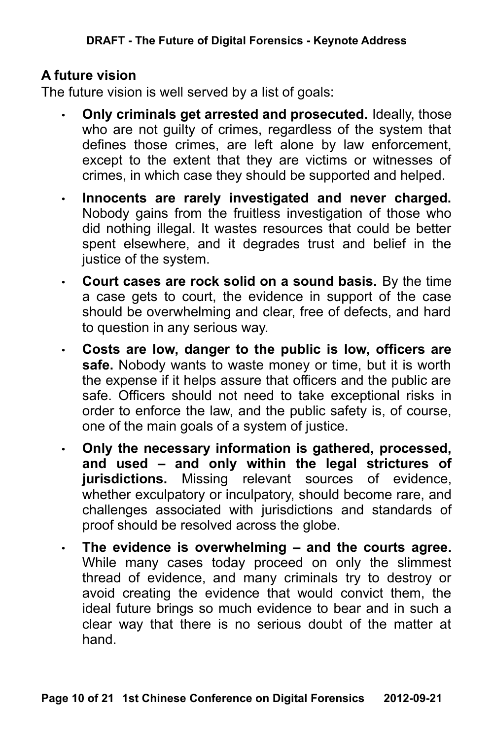## **A future vision**

The future vision is well served by a list of goals:

- **Only criminals get arrested and prosecuted.** Ideally, those who are not guilty of crimes, regardless of the system that defines those crimes, are left alone by law enforcement, except to the extent that they are victims or witnesses of crimes, in which case they should be supported and helped.
- **Innocents are rarely investigated and never charged.** Nobody gains from the fruitless investigation of those who did nothing illegal. It wastes resources that could be better spent elsewhere, and it degrades trust and belief in the justice of the system.
- **Court cases are rock solid on a sound basis.** By the time a case gets to court, the evidence in support of the case should be overwhelming and clear, free of defects, and hard to question in any serious way.
- **Costs are low, danger to the public is low, officers are safe.** Nobody wants to waste money or time, but it is worth the expense if it helps assure that officers and the public are safe. Officers should not need to take exceptional risks in order to enforce the law, and the public safety is, of course, one of the main goals of a system of justice.
- **Only the necessary information is gathered, processed, and used – and only within the legal strictures of jurisdictions.** Missing relevant sources of evidence, whether exculpatory or inculpatory, should become rare, and challenges associated with jurisdictions and standards of proof should be resolved across the globe.
- **The evidence is overwhelming and the courts agree.** While many cases today proceed on only the slimmest thread of evidence, and many criminals try to destroy or avoid creating the evidence that would convict them, the ideal future brings so much evidence to bear and in such a clear way that there is no serious doubt of the matter at hand.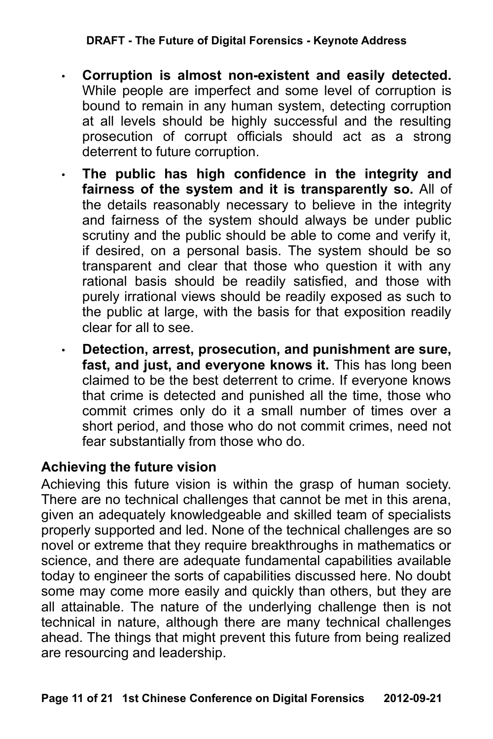#### **DRAFT - The Future of Digital Forensics - Keynote Address**

- **Corruption is almost non-existent and easily detected.** While people are imperfect and some level of corruption is bound to remain in any human system, detecting corruption at all levels should be highly successful and the resulting prosecution of corrupt officials should act as a strong deterrent to future corruption.
- **The public has high confidence in the integrity and fairness of the system and it is transparently so.** All of the details reasonably necessary to believe in the integrity and fairness of the system should always be under public scrutiny and the public should be able to come and verify it, if desired, on a personal basis. The system should be so transparent and clear that those who question it with any rational basis should be readily satisfied, and those with purely irrational views should be readily exposed as such to the public at large, with the basis for that exposition readily clear for all to see.
- **Detection, arrest, prosecution, and punishment are sure, fast, and just, and everyone knows it.** This has long been claimed to be the best deterrent to crime. If everyone knows that crime is detected and punished all the time, those who commit crimes only do it a small number of times over a short period, and those who do not commit crimes, need not fear substantially from those who do.

### **Achieving the future vision**

Achieving this future vision is within the grasp of human society. There are no technical challenges that cannot be met in this arena, given an adequately knowledgeable and skilled team of specialists properly supported and led. None of the technical challenges are so novel or extreme that they require breakthroughs in mathematics or science, and there are adequate fundamental capabilities available today to engineer the sorts of capabilities discussed here. No doubt some may come more easily and quickly than others, but they are all attainable. The nature of the underlying challenge then is not technical in nature, although there are many technical challenges ahead. The things that might prevent this future from being realized are resourcing and leadership.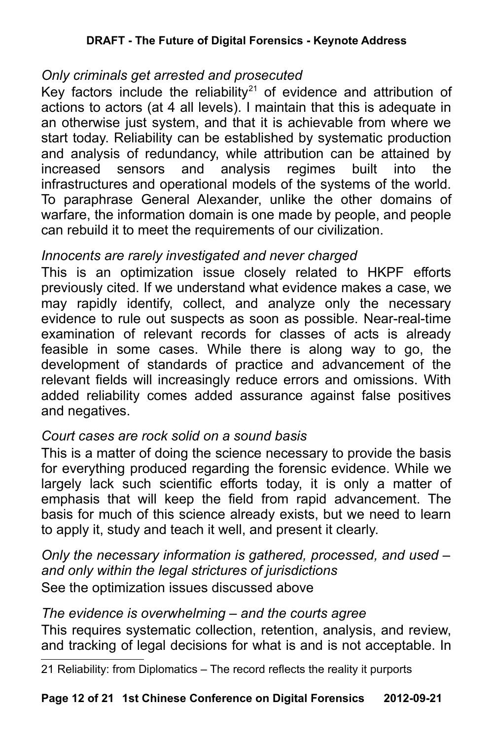## *Only criminals get arrested and prosecuted*

Key factors include the reliability<sup>[21](#page-11-0)</sup> of evidence and attribution of actions to actors (at 4 all levels). I maintain that this is adequate in an otherwise just system, and that it is achievable from where we start today. Reliability can be established by systematic production and analysis of redundancy, while attribution can be attained by increased sensors and analysis regimes built into the infrastructures and operational models of the systems of the world. To paraphrase General Alexander, unlike the other domains of warfare, the information domain is one made by people, and people can rebuild it to meet the requirements of our civilization.

# *Innocents are rarely investigated and never charged*

This is an optimization issue closely related to HKPF efforts previously cited. If we understand what evidence makes a case, we may rapidly identify, collect, and analyze only the necessary evidence to rule out suspects as soon as possible. Near-real-time examination of relevant records for classes of acts is already feasible in some cases. While there is along way to go, the development of standards of practice and advancement of the relevant fields will increasingly reduce errors and omissions. With added reliability comes added assurance against false positives and negatives.

### *Court cases are rock solid on a sound basis*

This is a matter of doing the science necessary to provide the basis for everything produced regarding the forensic evidence. While we largely lack such scientific efforts today, it is only a matter of emphasis that will keep the field from rapid advancement. The basis for much of this science already exists, but we need to learn to apply it, study and teach it well, and present it clearly.

*Only the necessary information is gathered, processed, and used – and only within the legal strictures of jurisdictions* See the optimization issues discussed above

### *The evidence is overwhelming – and the courts agree*

This requires systematic collection, retention, analysis, and review, and tracking of legal decisions for what is and is not acceptable. In

<span id="page-11-0"></span>21 Reliability: from Diplomatics – The record reflects the reality it purports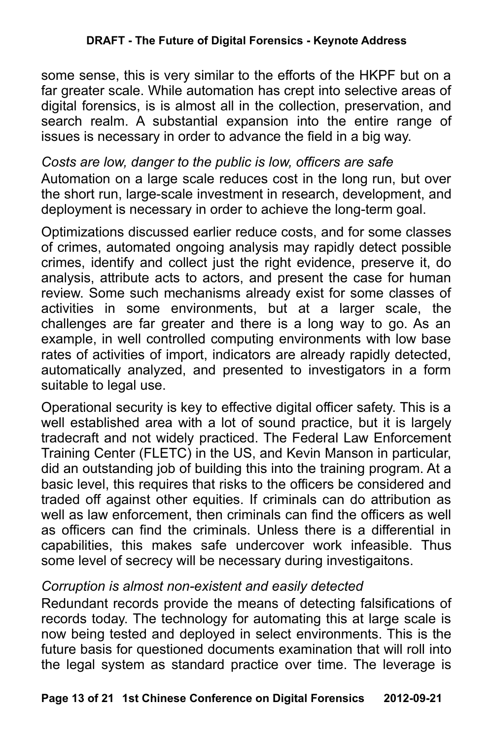some sense, this is very similar to the efforts of the HKPF but on a far greater scale. While automation has crept into selective areas of digital forensics, is is almost all in the collection, preservation, and search realm. A substantial expansion into the entire range of issues is necessary in order to advance the field in a big way.

## *Costs are low, danger to the public is low, officers are safe*

Automation on a large scale reduces cost in the long run, but over the short run, large-scale investment in research, development, and deployment is necessary in order to achieve the long-term goal.

Optimizations discussed earlier reduce costs, and for some classes of crimes, automated ongoing analysis may rapidly detect possible crimes, identify and collect just the right evidence, preserve it, do analysis, attribute acts to actors, and present the case for human review. Some such mechanisms already exist for some classes of activities in some environments, but at a larger scale, the challenges are far greater and there is a long way to go. As an example, in well controlled computing environments with low base rates of activities of import, indicators are already rapidly detected, automatically analyzed, and presented to investigators in a form suitable to legal use.

Operational security is key to effective digital officer safety. This is a well established area with a lot of sound practice, but it is largely tradecraft and not widely practiced. The Federal Law Enforcement Training Center (FLETC) in the US, and Kevin Manson in particular, did an outstanding job of building this into the training program. At a basic level, this requires that risks to the officers be considered and traded off against other equities. If criminals can do attribution as well as law enforcement, then criminals can find the officers as well as officers can find the criminals. Unless there is a differential in capabilities, this makes safe undercover work infeasible. Thus some level of secrecy will be necessary during investigaitons.

### *Corruption is almost non-existent and easily detected*

Redundant records provide the means of detecting falsifications of records today. The technology for automating this at large scale is now being tested and deployed in select environments. This is the future basis for questioned documents examination that will roll into the legal system as standard practice over time. The leverage is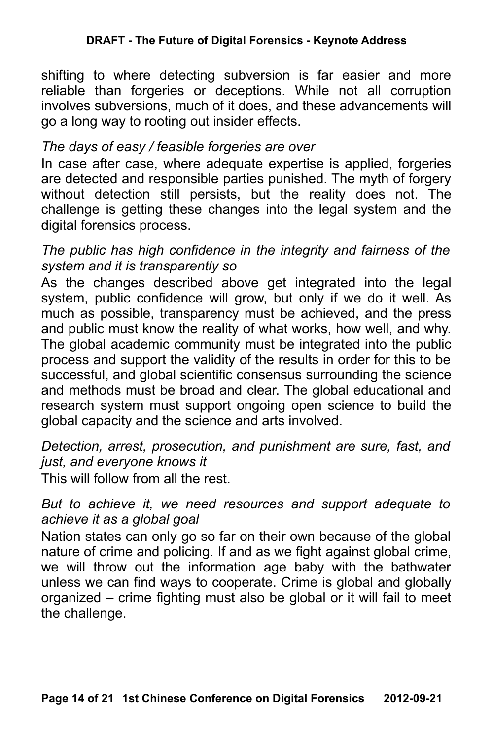shifting to where detecting subversion is far easier and more reliable than forgeries or deceptions. While not all corruption involves subversions, much of it does, and these advancements will go a long way to rooting out insider effects.

# *The days of easy / feasible forgeries are over*

In case after case, where adequate expertise is applied, forgeries are detected and responsible parties punished. The myth of forgery without detection still persists, but the reality does not. The challenge is getting these changes into the legal system and the digital forensics process.

### *The public has high confidence in the integrity and fairness of the system and it is transparently so*

As the changes described above get integrated into the legal system, public confidence will grow, but only if we do it well. As much as possible, transparency must be achieved, and the press and public must know the reality of what works, how well, and why. The global academic community must be integrated into the public process and support the validity of the results in order for this to be successful, and global scientific consensus surrounding the science and methods must be broad and clear. The global educational and research system must support ongoing open science to build the global capacity and the science and arts involved.

*Detection, arrest, prosecution, and punishment are sure, fast, and just, and everyone knows it*

This will follow from all the rest.

#### *But to achieve it, we need resources and support adequate to achieve it as a global goal*

Nation states can only go so far on their own because of the global nature of crime and policing. If and as we fight against global crime, we will throw out the information age baby with the bathwater unless we can find ways to cooperate. Crime is global and globally organized – crime fighting must also be global or it will fail to meet the challenge.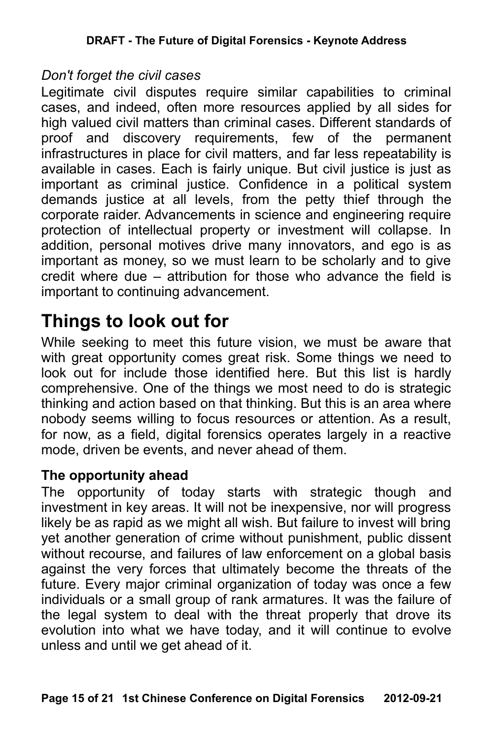#### *Don't forget the civil cases*

Legitimate civil disputes require similar capabilities to criminal cases, and indeed, often more resources applied by all sides for high valued civil matters than criminal cases. Different standards of proof and discovery requirements, few of the permanent infrastructures in place for civil matters, and far less repeatability is available in cases. Each is fairly unique. But civil justice is just as important as criminal justice. Confidence in a political system demands justice at all levels, from the petty thief through the corporate raider. Advancements in science and engineering require protection of intellectual property or investment will collapse. In addition, personal motives drive many innovators, and ego is as important as money, so we must learn to be scholarly and to give credit where due – attribution for those who advance the field is important to continuing advancement.

# **Things to look out for**

While seeking to meet this future vision, we must be aware that with great opportunity comes great risk. Some things we need to look out for include those identified here. But this list is hardly comprehensive. One of the things we most need to do is strategic thinking and action based on that thinking. But this is an area where nobody seems willing to focus resources or attention. As a result, for now, as a field, digital forensics operates largely in a reactive mode, driven be events, and never ahead of them.

### **The opportunity ahead**

The opportunity of today starts with strategic though and investment in key areas. It will not be inexpensive, nor will progress likely be as rapid as we might all wish. But failure to invest will bring yet another generation of crime without punishment, public dissent without recourse, and failures of law enforcement on a global basis against the very forces that ultimately become the threats of the future. Every major criminal organization of today was once a few individuals or a small group of rank armatures. It was the failure of the legal system to deal with the threat properly that drove its evolution into what we have today, and it will continue to evolve unless and until we get ahead of it.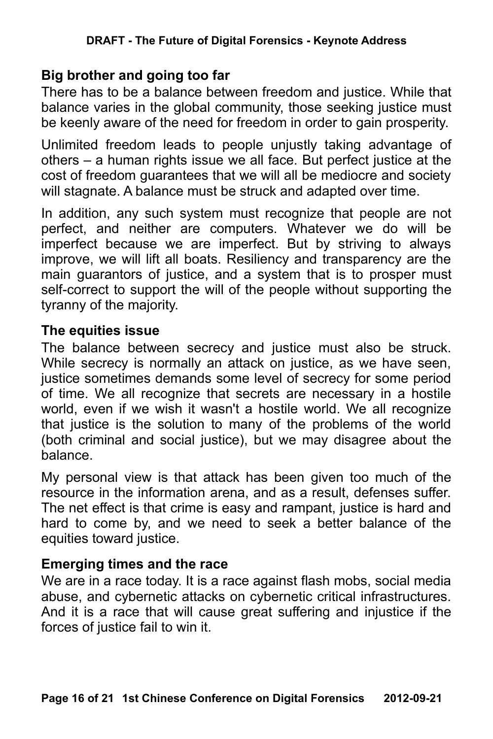## **Big brother and going too far**

There has to be a balance between freedom and justice. While that balance varies in the global community, those seeking justice must be keenly aware of the need for freedom in order to gain prosperity.

Unlimited freedom leads to people unjustly taking advantage of others – a human rights issue we all face. But perfect justice at the cost of freedom guarantees that we will all be mediocre and society will stagnate. A balance must be struck and adapted over time.

In addition, any such system must recognize that people are not perfect, and neither are computers. Whatever we do will be imperfect because we are imperfect. But by striving to always improve, we will lift all boats. Resiliency and transparency are the main guarantors of justice, and a system that is to prosper must self-correct to support the will of the people without supporting the tyranny of the majority.

#### **The equities issue**

The balance between secrecy and justice must also be struck. While secrecy is normally an attack on justice, as we have seen, justice sometimes demands some level of secrecy for some period of time. We all recognize that secrets are necessary in a hostile world, even if we wish it wasn't a hostile world. We all recognize that justice is the solution to many of the problems of the world (both criminal and social justice), but we may disagree about the balance.

My personal view is that attack has been given too much of the resource in the information arena, and as a result, defenses suffer. The net effect is that crime is easy and rampant, justice is hard and hard to come by, and we need to seek a better balance of the equities toward justice.

## **Emerging times and the race**

We are in a race today. It is a race against flash mobs, social media abuse, and cybernetic attacks on cybernetic critical infrastructures. And it is a race that will cause great suffering and injustice if the forces of justice fail to win it.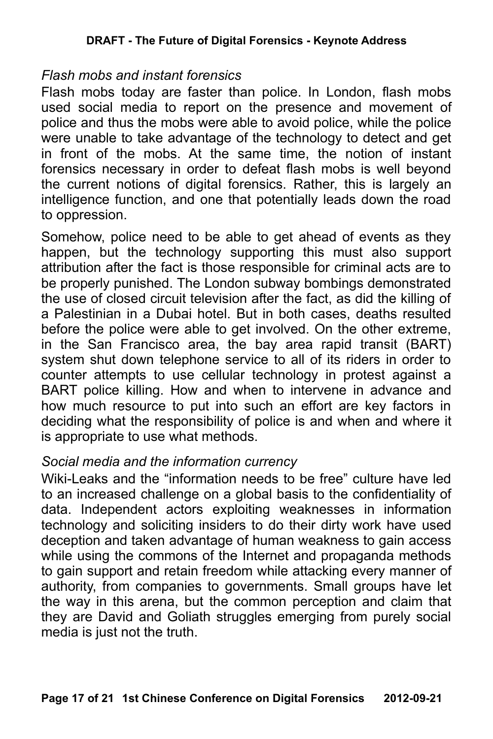#### *Flash mobs and instant forensics*

Flash mobs today are faster than police. In London, flash mobs used social media to report on the presence and movement of police and thus the mobs were able to avoid police, while the police were unable to take advantage of the technology to detect and get in front of the mobs. At the same time, the notion of instant forensics necessary in order to defeat flash mobs is well beyond the current notions of digital forensics. Rather, this is largely an intelligence function, and one that potentially leads down the road to oppression.

Somehow, police need to be able to get ahead of events as they happen, but the technology supporting this must also support attribution after the fact is those responsible for criminal acts are to be properly punished. The London subway bombings demonstrated the use of closed circuit television after the fact, as did the killing of a Palestinian in a Dubai hotel. But in both cases, deaths resulted before the police were able to get involved. On the other extreme, in the San Francisco area, the bay area rapid transit (BART) system shut down telephone service to all of its riders in order to counter attempts to use cellular technology in protest against a BART police killing. How and when to intervene in advance and how much resource to put into such an effort are key factors in deciding what the responsibility of police is and when and where it is appropriate to use what methods.

### *Social media and the information currency*

Wiki-Leaks and the "information needs to be free" culture have led to an increased challenge on a global basis to the confidentiality of data. Independent actors exploiting weaknesses in information technology and soliciting insiders to do their dirty work have used deception and taken advantage of human weakness to gain access while using the commons of the Internet and propaganda methods to gain support and retain freedom while attacking every manner of authority, from companies to governments. Small groups have let the way in this arena, but the common perception and claim that they are David and Goliath struggles emerging from purely social media is just not the truth.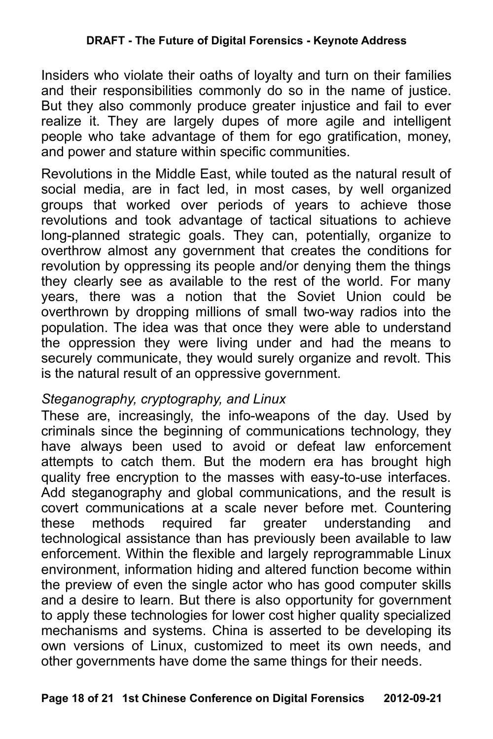Insiders who violate their oaths of loyalty and turn on their families and their responsibilities commonly do so in the name of justice. But they also commonly produce greater injustice and fail to ever realize it. They are largely dupes of more agile and intelligent people who take advantage of them for ego gratification, money, and power and stature within specific communities.

Revolutions in the Middle East, while touted as the natural result of social media, are in fact led, in most cases, by well organized groups that worked over periods of years to achieve those revolutions and took advantage of tactical situations to achieve long-planned strategic goals. They can, potentially, organize to overthrow almost any government that creates the conditions for revolution by oppressing its people and/or denying them the things they clearly see as available to the rest of the world. For many years, there was a notion that the Soviet Union could be overthrown by dropping millions of small two-way radios into the population. The idea was that once they were able to understand the oppression they were living under and had the means to securely communicate, they would surely organize and revolt. This is the natural result of an oppressive government.

### *Steganography, cryptography, and Linux*

These are, increasingly, the info-weapons of the day. Used by criminals since the beginning of communications technology, they have always been used to avoid or defeat law enforcement attempts to catch them. But the modern era has brought high quality free encryption to the masses with easy-to-use interfaces. Add steganography and global communications, and the result is covert communications at a scale never before met. Countering these methods required far greater understanding and technological assistance than has previously been available to law enforcement. Within the flexible and largely reprogrammable Linux environment, information hiding and altered function become within the preview of even the single actor who has good computer skills and a desire to learn. But there is also opportunity for government to apply these technologies for lower cost higher quality specialized mechanisms and systems. China is asserted to be developing its own versions of Linux, customized to meet its own needs, and other governments have dome the same things for their needs.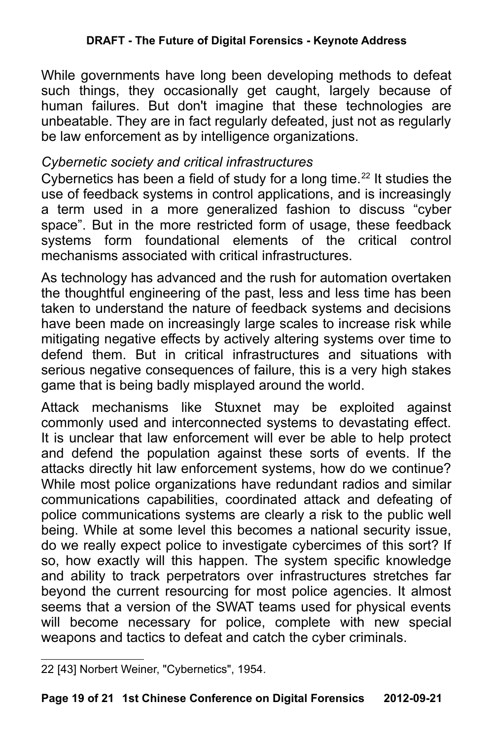While governments have long been developing methods to defeat such things, they occasionally get caught, largely because of human failures. But don't imagine that these technologies are unbeatable. They are in fact regularly defeated, just not as regularly be law enforcement as by intelligence organizations.

## *Cybernetic society and critical infrastructures*

Cybernetics has been a field of study for a long time.<sup>[22](#page-18-0)</sup> It studies the use of feedback systems in control applications, and is increasingly a term used in a more generalized fashion to discuss "cyber space". But in the more restricted form of usage, these feedback systems form foundational elements of the critical control mechanisms associated with critical infrastructures.

As technology has advanced and the rush for automation overtaken the thoughtful engineering of the past, less and less time has been taken to understand the nature of feedback systems and decisions have been made on increasingly large scales to increase risk while mitigating negative effects by actively altering systems over time to defend them. But in critical infrastructures and situations with serious negative consequences of failure, this is a very high stakes game that is being badly misplayed around the world.

Attack mechanisms like Stuxnet may be exploited against commonly used and interconnected systems to devastating effect. It is unclear that law enforcement will ever be able to help protect and defend the population against these sorts of events. If the attacks directly hit law enforcement systems, how do we continue? While most police organizations have redundant radios and similar communications capabilities, coordinated attack and defeating of police communications systems are clearly a risk to the public well being. While at some level this becomes a national security issue, do we really expect police to investigate cybercimes of this sort? If so, how exactly will this happen. The system specific knowledge and ability to track perpetrators over infrastructures stretches far beyond the current resourcing for most police agencies. It almost seems that a version of the SWAT teams used for physical events will become necessary for police, complete with new special weapons and tactics to defeat and catch the cyber criminals.

<span id="page-18-0"></span><sup>22</sup> [43] Norbert Weiner, "Cybernetics", 1954.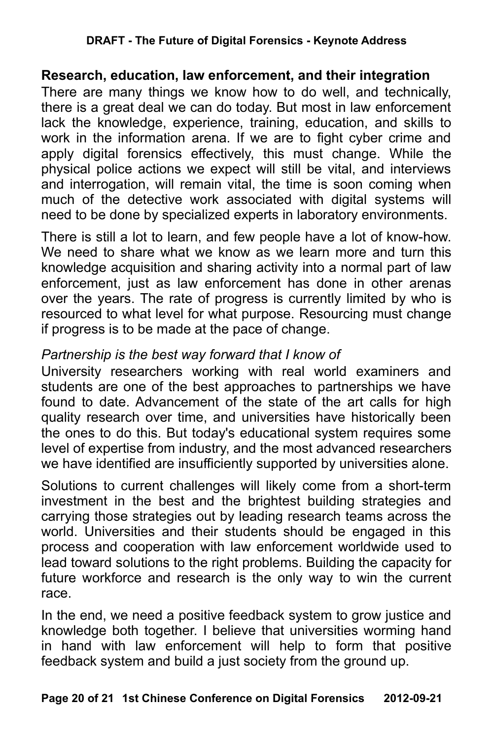#### **Research, education, law enforcement, and their integration**

There are many things we know how to do well, and technically, there is a great deal we can do today. But most in law enforcement lack the knowledge, experience, training, education, and skills to work in the information arena. If we are to fight cyber crime and apply digital forensics effectively, this must change. While the physical police actions we expect will still be vital, and interviews and interrogation, will remain vital, the time is soon coming when much of the detective work associated with digital systems will need to be done by specialized experts in laboratory environments.

There is still a lot to learn, and few people have a lot of know-how. We need to share what we know as we learn more and turn this knowledge acquisition and sharing activity into a normal part of law enforcement, just as law enforcement has done in other arenas over the years. The rate of progress is currently limited by who is resourced to what level for what purpose. Resourcing must change if progress is to be made at the pace of change.

## *Partnership is the best way forward that I know of*

University researchers working with real world examiners and students are one of the best approaches to partnerships we have found to date. Advancement of the state of the art calls for high quality research over time, and universities have historically been the ones to do this. But today's educational system requires some level of expertise from industry, and the most advanced researchers we have identified are insufficiently supported by universities alone.

Solutions to current challenges will likely come from a short-term investment in the best and the brightest building strategies and carrying those strategies out by leading research teams across the world. Universities and their students should be engaged in this process and cooperation with law enforcement worldwide used to lead toward solutions to the right problems. Building the capacity for future workforce and research is the only way to win the current race.

In the end, we need a positive feedback system to grow justice and knowledge both together. I believe that universities worming hand in hand with law enforcement will help to form that positive feedback system and build a just society from the ground up.